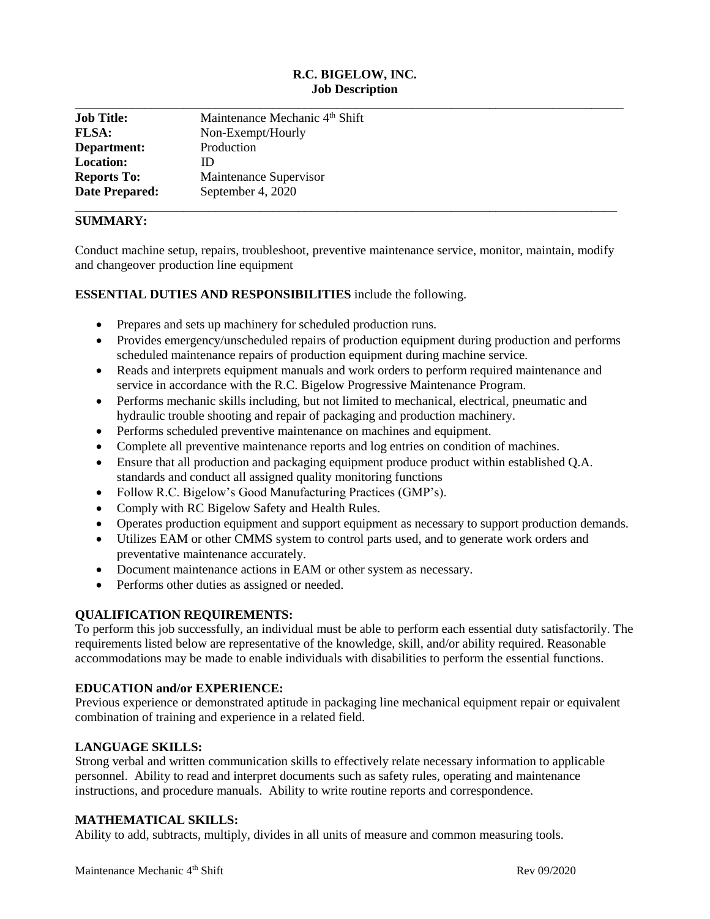# **R.C. BIGELOW, INC. Job Description**

| <b>Job Title:</b>     | Maintenance Mechanic 4 <sup>th</sup> Shift |
|-----------------------|--------------------------------------------|
| <b>FLSA:</b>          | Non-Exempt/Hourly                          |
| Department:           | Production                                 |
| <b>Location:</b>      | ID                                         |
| <b>Reports To:</b>    | Maintenance Supervisor                     |
| <b>Date Prepared:</b> | September 4, 2020                          |

# **SUMMARY:**

Conduct machine setup, repairs, troubleshoot, preventive maintenance service, monitor, maintain, modify and changeover production line equipment

#### **ESSENTIAL DUTIES AND RESPONSIBILITIES** include the following.

- Prepares and sets up machinery for scheduled production runs.
- Provides emergency/unscheduled repairs of production equipment during production and performs scheduled maintenance repairs of production equipment during machine service.
- Reads and interprets equipment manuals and work orders to perform required maintenance and service in accordance with the R.C. Bigelow Progressive Maintenance Program.
- Performs mechanic skills including, but not limited to mechanical, electrical, pneumatic and hydraulic trouble shooting and repair of packaging and production machinery.
- Performs scheduled preventive maintenance on machines and equipment.
- Complete all preventive maintenance reports and log entries on condition of machines.
- Ensure that all production and packaging equipment produce product within established Q.A. standards and conduct all assigned quality monitoring functions
- Follow R.C. Bigelow's Good Manufacturing Practices (GMP's).
- Comply with RC Bigelow Safety and Health Rules.
- Operates production equipment and support equipment as necessary to support production demands.
- Utilizes EAM or other CMMS system to control parts used, and to generate work orders and preventative maintenance accurately.
- Document maintenance actions in EAM or other system as necessary.
- Performs other duties as assigned or needed.

## **QUALIFICATION REQUIREMENTS:**

To perform this job successfully, an individual must be able to perform each essential duty satisfactorily. The requirements listed below are representative of the knowledge, skill, and/or ability required. Reasonable accommodations may be made to enable individuals with disabilities to perform the essential functions.

#### **EDUCATION and/or EXPERIENCE:**

Previous experience or demonstrated aptitude in packaging line mechanical equipment repair or equivalent combination of training and experience in a related field.

## **LANGUAGE SKILLS:**

Strong verbal and written communication skills to effectively relate necessary information to applicable personnel. Ability to read and interpret documents such as safety rules, operating and maintenance instructions, and procedure manuals. Ability to write routine reports and correspondence.

#### **MATHEMATICAL SKILLS:**

Ability to add, subtracts, multiply, divides in all units of measure and common measuring tools.